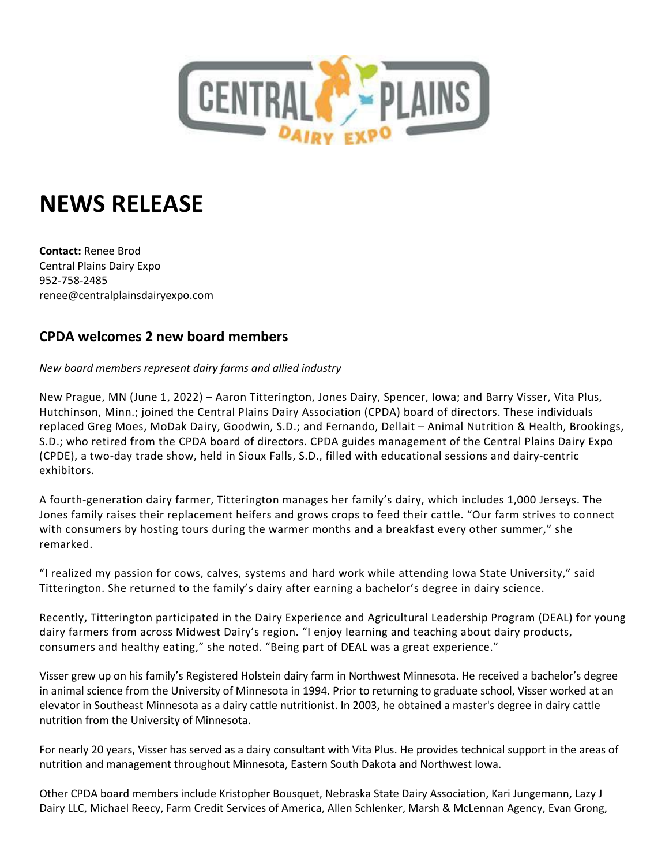

## **NEWS RELEASE**

**Contact:** Renee Brod Central Plains Dairy Expo 952-758-2485 renee@centralplainsdairyexpo.com

## **CPDA welcomes 2 new board members**

*New board members represent dairy farms and allied industry*

New Prague, MN (June 1, 2022) – Aaron Titterington, Jones Dairy, Spencer, Iowa; and Barry Visser, Vita Plus, Hutchinson, Minn.; joined the Central Plains Dairy Association (CPDA) board of directors. These individuals replaced Greg Moes, MoDak Dairy, Goodwin, S.D.; and Fernando, Dellait – Animal Nutrition & Health, Brookings, S.D.; who retired from the CPDA board of directors. CPDA guides management of the Central Plains Dairy Expo (CPDE), a two-day trade show, held in Sioux Falls, S.D., filled with educational sessions and dairy-centric exhibitors.

A fourth-generation dairy farmer, Titterington manages her family's dairy, which includes 1,000 Jerseys. The Jones family raises their replacement heifers and grows crops to feed their cattle. "Our farm strives to connect with consumers by hosting tours during the warmer months and a breakfast every other summer," she remarked.

"I realized my passion for cows, calves, systems and hard work while attending Iowa State University," said Titterington. She returned to the family's dairy after earning a bachelor's degree in dairy science.

Recently, Titterington participated in the Dairy Experience and Agricultural Leadership Program (DEAL) for young dairy farmers from across Midwest Dairy's region. "I enjoy learning and teaching about dairy products, consumers and healthy eating," she noted. "Being part of DEAL was a great experience."

Visser grew up on his family's Registered Holstein dairy farm in Northwest Minnesota. He received a bachelor's degree in animal science from the University of Minnesota in 1994. Prior to returning to graduate school, Visser worked at an elevator in Southeast Minnesota as a dairy cattle nutritionist. In 2003, he obtained a master's degree in dairy cattle nutrition from the University of Minnesota.

For nearly 20 years, Visser has served as a dairy consultant with Vita Plus. He provides technical support in the areas of nutrition and management throughout Minnesota, Eastern South Dakota and Northwest Iowa.

Other CPDA board members include Kristopher Bousquet, Nebraska State Dairy Association, Kari Jungemann, Lazy J Dairy LLC, Michael Reecy, Farm Credit Services of America, Allen Schlenker, Marsh & McLennan Agency, Evan Grong,